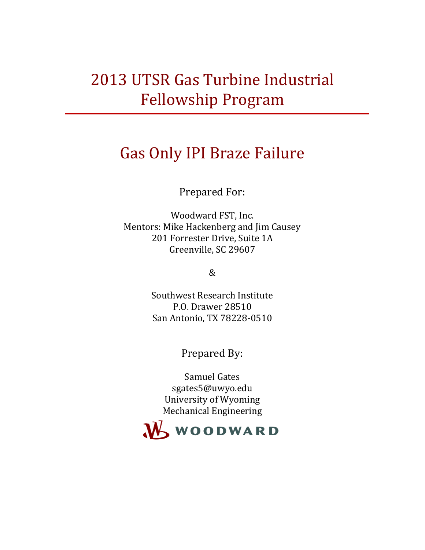# 2013 UTSR Gas Turbine Industrial Fellowship Program

# Gas Only IPI Braze Failure

Prepared For:

Woodward FST, Inc. Mentors: Mike Hackenberg and Jim Causey 201 Forrester Drive, Suite 1A Greenville, SC 29607

&

Southwest Research Institute P.O. Drawer 28510 San Antonio, TX 78228-0510

Prepared By:

Samuel Gates sgates5@uwyo.edu University of Wyoming Mechanical Engineering

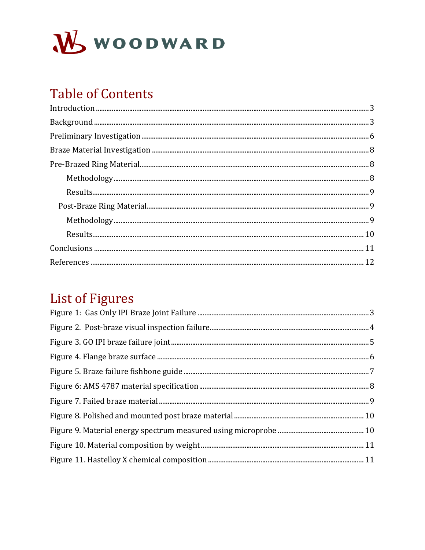

# **Table of Contents**

# **List of Figures**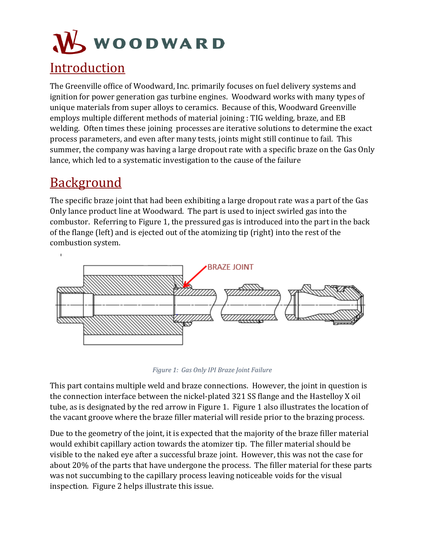# **WOODWARD Introduction**

<span id="page-2-0"></span>The Greenville office of Woodward, Inc. primarily focuses on fuel delivery systems and ignition for power generation gas turbine engines. Woodward works with many types of unique materials from super alloys to ceramics. Because of this, Woodward Greenville employs multiple different methods of material joining : TIG welding, braze, and EB welding. Often times these joining processes are iterative solutions to determine the exact process parameters, and even after many tests, joints might still continue to fail. This summer, the company was having a large dropout rate with a specific braze on the Gas Only lance, which led to a systematic investigation to the cause of the failure

## <span id="page-2-1"></span>**Background**

 $\overline{1}$ 

The specific braze joint that had been exhibiting a large dropout rate was a part of the Gas Only lance product line at Woodward. The part is used to inject swirled gas into the combustor. Referring to [Figure 1,](#page-2-2) the pressured gas is introduced into the part in the back of the flange (left) and is ejected out of the atomizing tip (right) into the rest of the combustion system.



*Figure 1: Gas Only IPI Braze Joint Failure*

<span id="page-2-2"></span>This part contains multiple weld and braze connections. However, the joint in question is the connection interface between the nickel-plated 321 SS flange and the Hastelloy X oil tube, as is designated by the red arrow in [Figure 1.](#page-2-2) [Figure 1](#page-2-2) also illustrates the location of the vacant groove where the braze filler material will reside prior to the brazing process.

Due to the geometry of the joint, it is expected that the majority of the braze filler material would exhibit capillary action towards the atomizer tip. The filler material should be visible to the naked eye after a successful braze joint. However, this was not the case for about 20% of the parts that have undergone the process. The filler material for these parts was not succumbing to the capillary process leaving noticeable voids for the visual inspection. [Figure 2](#page-3-0) helps illustrate this issue.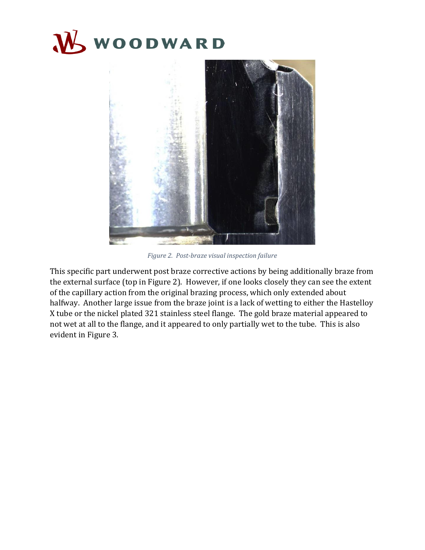



*Figure 2. Post-braze visual inspection failure*

<span id="page-3-0"></span>This specific part underwent post braze corrective actions by being additionally braze from the external surface (top in [Figure 2\)](#page-3-0). However, if one looks closely they can see the extent of the capillary action from the original brazing process, which only extended about halfway. Another large issue from the braze joint is a lack of wetting to either the Hastelloy X tube or the nickel plated 321 stainless steel flange. The gold braze material appeared to not wet at all to the flange, and it appeared to only partially wet to the tube. This is also evident in [Figure 3.](#page-4-0)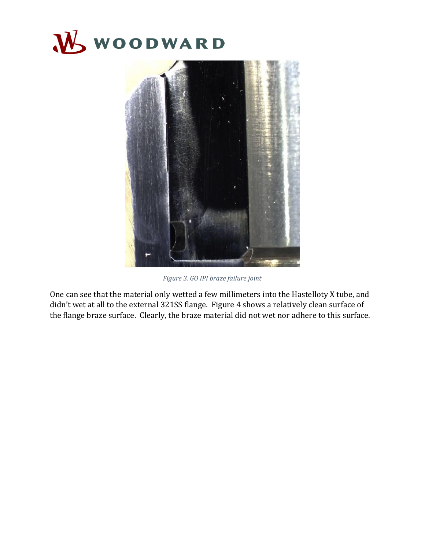



*Figure 3. GO IPI braze failure joint*

<span id="page-4-0"></span>One can see that the material only wetted a few millimeters into the Hastelloty X tube, and didn't wet at all to the external 321SS flange. [Figure 4](#page-5-1) shows a relatively clean surface of the flange braze surface. Clearly, the braze material did not wet nor adhere to this surface.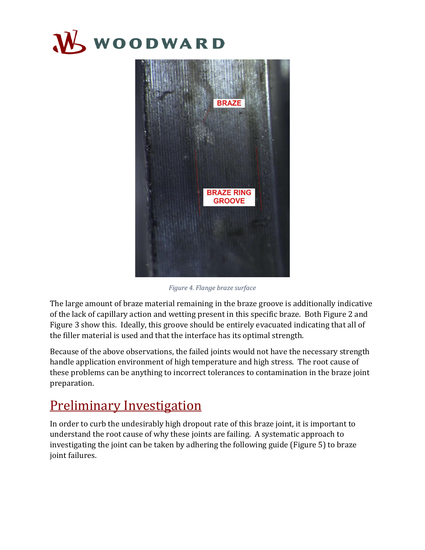



*Figure 4. Flange braze surface*

<span id="page-5-1"></span>The large amount of braze material remaining in the braze groove is additionally indicative of the lack of capillary action and wetting present in this specific braze. Both [Figure 2](#page-3-0) and [Figure 3](#page-4-0) show this. Ideally, this groove should be entirely evacuated indicating that all of the filler material is used and that the interface has its optimal strength.

Because of the above observations, the failed joints would not have the necessary strength handle application environment of high temperature and high stress. The root cause of these problems can be anything to incorrect tolerances to contamination in the braze joint preparation.

### <span id="page-5-0"></span>Preliminary Investigation

In order to curb the undesirably high dropout rate of this braze joint, it is important to understand the root cause of why these joints are failing. A systematic approach to investigating the joint can be taken by adhering the following guide [\(Figure 5\)](#page-6-0) to braze joint failures.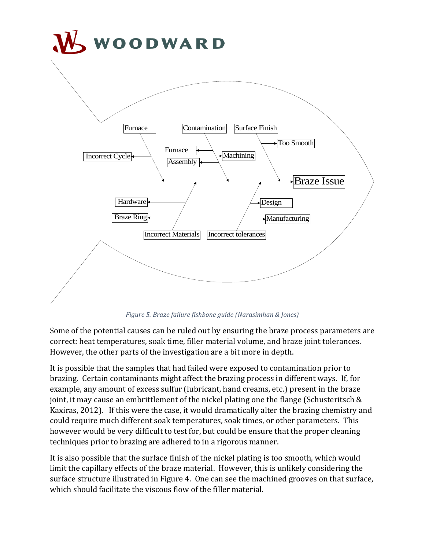

*Figure 5. Braze failure fishbone guide (Narasimhan & Jones)*

<span id="page-6-0"></span>Some of the potential causes can be ruled out by ensuring the braze process parameters are correct: heat temperatures, soak time, filler material volume, and braze joint tolerances. However, the other parts of the investigation are a bit more in depth.

It is possible that the samples that had failed were exposed to contamination prior to brazing. Certain contaminants might affect the brazing process in different ways. If, for example, any amount of excess sulfur (lubricant, hand creams, etc.) present in the braze joint, it may cause an embrittlement of the nickel plating one the flange (Schusteritsch & Kaxiras, 2012). If this were the case, it would dramatically alter the brazing chemistry and could require much different soak temperatures, soak times, or other parameters. This however would be very difficult to test for, but could be ensure that the proper cleaning techniques prior to brazing are adhered to in a rigorous manner.

It is also possible that the surface finish of the nickel plating is too smooth, which would limit the capillary effects of the braze material. However, this is unlikely considering the surface structure illustrated i[n Figure 4.](#page-5-1) One can see the machined grooves on that surface, which should facilitate the viscous flow of the filler material.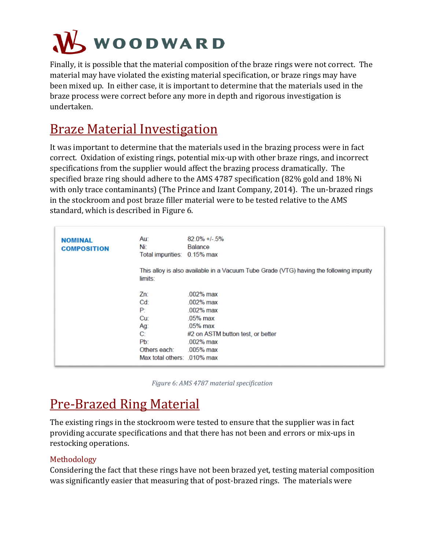

Finally, it is possible that the material composition of the braze rings were not correct. The material may have violated the existing material specification, or braze rings may have been mixed up. In either case, it is important to determine that the materials used in the braze process were correct before any more in depth and rigorous investigation is undertaken.

## <span id="page-7-0"></span>Braze Material Investigation

It was important to determine that the materials used in the brazing process were in fact correct. Oxidation of existing rings, potential mix-up with other braze rings, and incorrect specifications from the supplier would affect the brazing process dramatically. The specified braze ring should adhere to the AMS 4787 specification (82% gold and 18% Ni with only trace contaminants) (The Prince and Izant Company, 2014). The un-brazed rings in the stockroom and post braze filler material were to be tested relative to the AMS standard, which is described in [Figure 6.](#page-7-3)

| <b>NOMINAL</b><br><b>COMPOSITION</b> | Au:<br>Ni:<br>Total impurities: 0.15% max                                                                        | $82.0\% +1 - 5\%$<br><b>Balance</b>                                                                                                         |  |  |  |
|--------------------------------------|------------------------------------------------------------------------------------------------------------------|---------------------------------------------------------------------------------------------------------------------------------------------|--|--|--|
|                                      | This alloy is also available in a Vacuum Tube Grade (VTG) having the following impurity<br>limits:               |                                                                                                                                             |  |  |  |
|                                      | $Zn$ :<br>$Cd$ :<br>P<br>Cu <sup>2</sup><br>Ag:<br>$C^2$<br>$Pb$ :<br>Others each:<br>Max total others: 010% max | $.002%$ max<br>$.002\%$ max<br>$.002\%$ max<br>$.05%$ max<br>$.05%$ max<br>#2 on ASTM button test, or better<br>$.002\%$ max<br>$.005%$ max |  |  |  |

*Figure 6: AMS 4787 material specification*

# <span id="page-7-3"></span><span id="page-7-1"></span>Pre-Brazed Ring Material

The existing rings in the stockroom were tested to ensure that the supplier was in fact providing accurate specifications and that there has not been and errors or mix-ups in restocking operations.

#### <span id="page-7-2"></span>Methodology

Considering the fact that these rings have not been brazed yet, testing material composition was significantly easier that measuring that of post-brazed rings. The materials were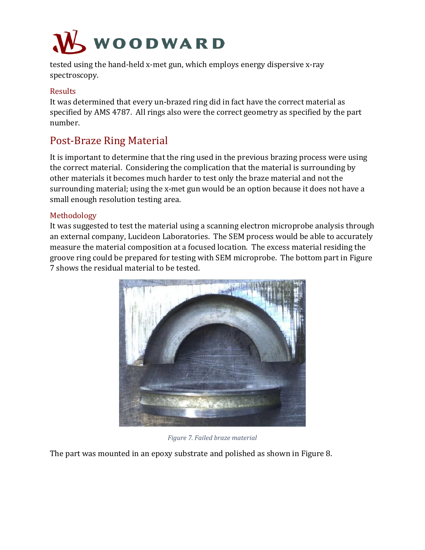

tested using the hand-held x-met gun, which employs energy dispersive x-ray spectroscopy.

#### <span id="page-8-0"></span>Results

It was determined that every un-brazed ring did in fact have the correct material as specified by AMS 4787. All rings also were the correct geometry as specified by the part number.

#### <span id="page-8-1"></span>Post-Braze Ring Material

It is important to determine that the ring used in the previous brazing process were using the correct material. Considering the complication that the material is surrounding by other materials it becomes much harder to test only the braze material and not the surrounding material; using the x-met gun would be an option because it does not have a small enough resolution testing area.

#### <span id="page-8-2"></span>Methodology

It was suggested to test the material using a scanning electron microprobe analysis through an external company, Lucideon Laboratories. The SEM process would be able to accurately measure the material composition at a focused location. The excess material residing the groove ring could be prepared for testing with SEM microprobe. The bottom part in [Figure](#page-8-3)  [7](#page-8-3) shows the residual material to be tested.



*Figure 7. Failed braze material*

<span id="page-8-3"></span>The part was mounted in an epoxy substrate and polished as shown in [Figure 8.](#page-9-1)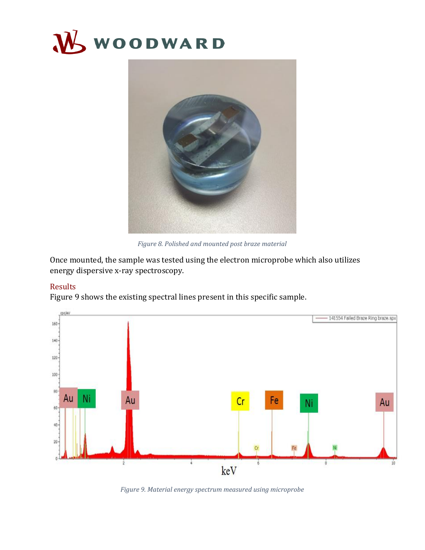



*Figure 8. Polished and mounted post braze material*

<span id="page-9-1"></span>Once mounted, the sample was tested using the electron microprobe which also utilizes energy dispersive x-ray spectroscopy.

#### <span id="page-9-0"></span>Results

[Figure 9](#page-9-2) shows the existing spectral lines present in this specific sample.



<span id="page-9-2"></span>*Figure 9. Material energy spectrum measured using microprobe*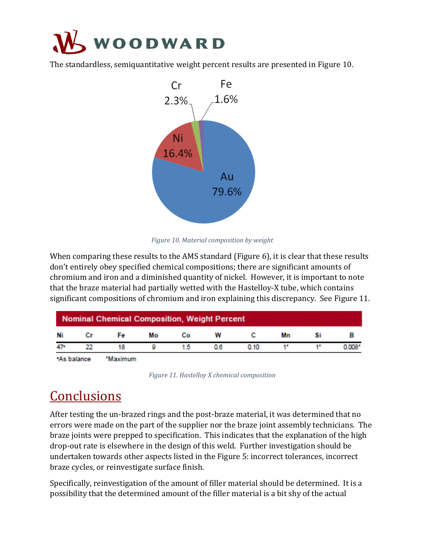

The standardless, semiquantitative weight percent results are presented in [Figure 10.](#page-10-1)



*Figure 10. Material composition by weight*

<span id="page-10-1"></span>When comparing these results to the AMS standard [\(Figure 6\)](#page-7-3), it is clear that these results don't entirely obey specified chemical compositions; there are significant amounts of chromium and iron and a diminished quantity of nickel. However, it is important to note that the braze material had partially wetted with the Hastelloy-X tube, which contains significant compositions of chromium and iron explaining this discrepancy. See [Figure 11.](#page-10-2)

| <b>Nominal Chemical Composition, Weight Percent</b> |    |          |    |    |    |      |    |    |          |  |
|-----------------------------------------------------|----|----------|----|----|----|------|----|----|----------|--|
| Ni                                                  | Сr | Fe       | Мо | Co | w  |      | Mn | Si |          |  |
| 47*                                                 | 22 | 18       |    | 15 | 08 | 0.10 |    |    | $0.008*$ |  |
| *As balance                                         |    | *Maximum |    |    |    |      |    |    |          |  |

*Figure 11. Hastelloy X chemical composition*

## <span id="page-10-2"></span><span id="page-10-0"></span>**Conclusions**

After testing the un-brazed rings and the post-braze material, it was determined that no errors were made on the part of the supplier nor the braze joint assembly technicians. The braze joints were prepped to specification. This indicates that the explanation of the high drop-out rate is elsewhere in the design of this weld. Further investigation should be undertaken towards other aspects listed in the [Figure 5:](#page-6-0) incorrect tolerances, incorrect braze cycles, or reinvestigate surface finish.

Specifically, reinvestigation of the amount of filler material should be determined. It is a possibility that the determined amount of the filler material is a bit shy of the actual